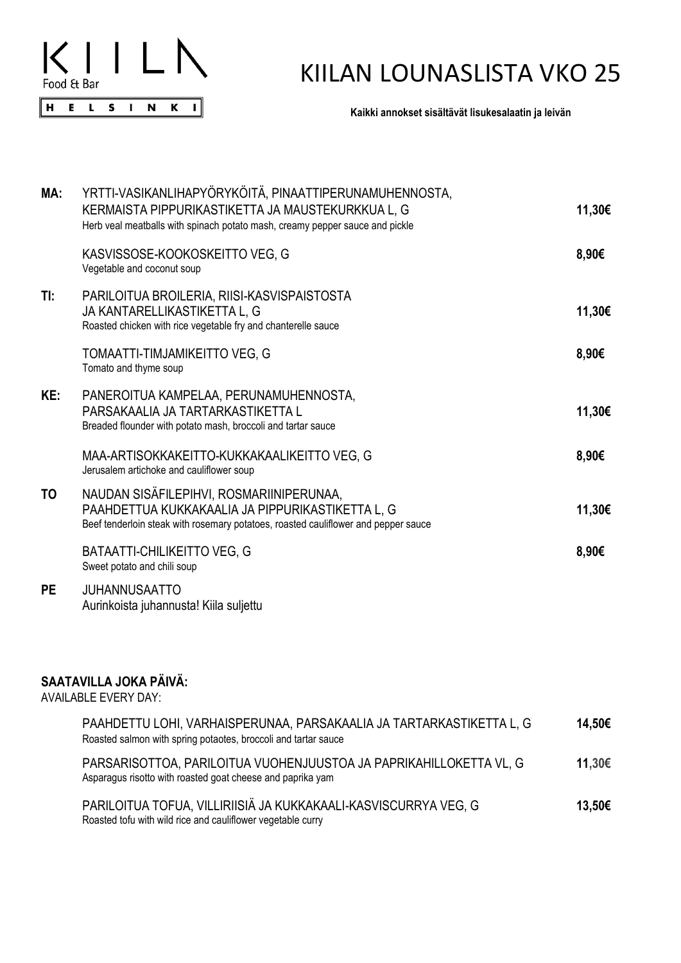

## KIILAN LOUNASLISTA VKO 25

**Kaikki annokset sisältävät lisukesalaatin ja leivän**

| MA:       | YRTTI-VASIKANLIHAPYORYKOITA, PINAATTIPERUNAMUHENNOSTA,<br>KERMAISTA PIPPURIKASTIKETTA JA MAUSTEKURKKUA L, G<br>Herb veal meatballs with spinach potato mash, creamy pepper sauce and pickle | 11,30€ |
|-----------|---------------------------------------------------------------------------------------------------------------------------------------------------------------------------------------------|--------|
|           | KASVISSOSE-KOOKOSKEITTO VEG, G<br>Vegetable and coconut soup                                                                                                                                | 8,90€  |
| TI:       | PARILOITUA BROILERIA, RIISI-KASVISPAISTOSTA<br>JA KANTARELLIKASTIKETTA L, G<br>Roasted chicken with rice vegetable fry and chanterelle sauce                                                | 11,30€ |
|           | TOMAATTI-TIMJAMIKEITTO VEG, G<br>Tomato and thyme soup                                                                                                                                      | 8,90€  |
| KE:       | PANEROITUA KAMPELAA, PERUNAMUHENNOSTA,<br>PARSAKAALIA JA TARTARKASTIKETTA L<br>Breaded flounder with potato mash, broccoli and tartar sauce                                                 | 11,30€ |
|           | MAA-ARTISOKKAKEITTO-KUKKAKAALIKEITTO VEG, G<br>Jerusalem artichoke and cauliflower soup                                                                                                     | 8,90€  |
| TO        | NAUDAN SISÄFILEPIHVI, ROSMARIINIPERUNAA,<br>PAAHDETTUA KUKKAKAALIA JA PIPPURIKASTIKETTA L, G<br>Beef tenderloin steak with rosemary potatoes, roasted cauliflower and pepper sauce          | 11,30€ |
|           | <b>BATAATTI-CHILIKEITTO VEG, G</b><br>Sweet potato and chili soup                                                                                                                           | 8,90€  |
| <b>PE</b> | <b>JUHANNUSAATTO</b><br>Aurinkoista juhannusta! Kiila suljettu                                                                                                                              |        |
|           |                                                                                                                                                                                             |        |

## **SAATAVILLA JOKA PÄIVÄ:**

AVAILABLE EVERY DAY:

| PAAHDETTU LOHI, VARHAISPERUNAA, PARSAKAALIA JA TARTARKASTIKETTA L, G<br>Roasted salmon with spring potaotes, broccoli and tartar sauce | 14.50€ |
|----------------------------------------------------------------------------------------------------------------------------------------|--------|
| PARSARISOTTOA, PARILOITUA VUOHENJUUSTOA JA PAPRIKAHILLOKETTA VL, G<br>Asparagus risotto with roasted goat cheese and paprika yam       | 11,30€ |
| PARILOITUA TOFUA, VILLIRIISIÄ JA KUKKAKAALI-KASVISCURRYA VEG, G<br>Roasted tofu with wild rice and cauliflower vegetable curry         | 13,50€ |